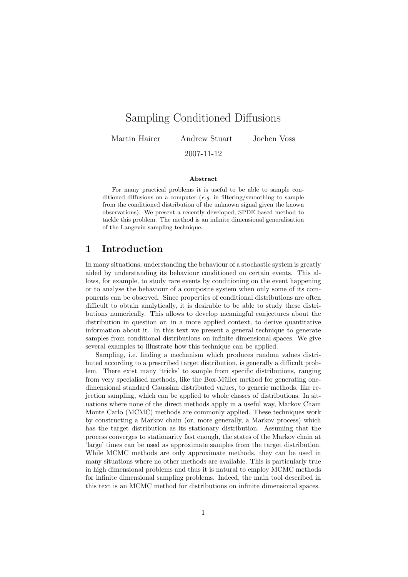# Sampling Conditioned Diffusions

Martin Hairer Andrew Stuart Jochen Voss

2007-11-12

#### Abstract

For many practical problems it is useful to be able to sample conditioned diffusions on a computer (e.g. in filtering/smoothing to sample from the conditioned distribution of the unknown signal given the known observations). We present a recently developed, SPDE-based method to tackle this problem. The method is an infinite dimensional generalisation of the Langevin sampling technique.

### 1 Introduction

In many situations, understanding the behaviour of a stochastic system is greatly aided by understanding its behaviour conditioned on certain events. This allows, for example, to study rare events by conditioning on the event happening or to analyse the behaviour of a composite system when only some of its components can be observed. Since properties of conditional distributions are often difficult to obtain analytically, it is desirable to be able to study these distributions numerically. This allows to develop meaningful conjectures about the distribution in question or, in a more applied context, to derive quantitative information about it. In this text we present a general technique to generate samples from conditional distributions on infinite dimensional spaces. We give several examples to illustrate how this technique can be applied.

Sampling, i.e. finding a mechanism which produces random values distributed according to a prescribed target distribution, is generally a difficult problem. There exist many 'tricks' to sample from specific distributions, ranging from very specialised methods, like the Box-Müller method for generating onedimensional standard Gaussian distributed values, to generic methods, like rejection sampling, which can be applied to whole classes of distributions. In situations where none of the direct methods apply in a useful way, Markov Chain Monte Carlo (MCMC) methods are commonly applied. These techniques work by constructing a Markov chain (or, more generally, a Markov process) which has the target distribution as its stationary distribution. Assuming that the process converges to stationarity fast enough, the states of the Markov chain at 'large' times can be used as approximate samples from the target distribution. While MCMC methods are only approximate methods, they can be used in many situations where no other methods are available. This is particularly true in high dimensional problems and thus it is natural to employ MCMC methods for infinite dimensional sampling problems. Indeed, the main tool described in this text is an MCMC method for distributions on infinite dimensional spaces.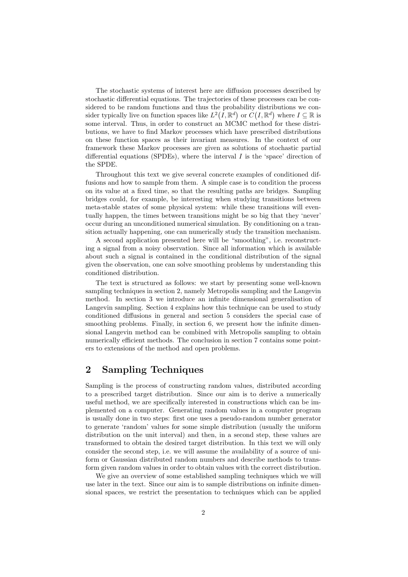The stochastic systems of interest here are diffusion processes described by stochastic differential equations. The trajectories of these processes can be considered to be random functions and thus the probability distributions we consider typically live on function spaces like  $L^2(I, \mathbb{R}^d)$  or  $C(I, \mathbb{R}^d)$  where  $I \subseteq \mathbb{R}$  is some interval. Thus, in order to construct an MCMC method for these distributions, we have to find Markov processes which have prescribed distributions on these function spaces as their invariant measures. In the context of our framework these Markov processes are given as solutions of stochastic partial differential equations (SPDEs), where the interval  $I$  is the 'space' direction of the SPDE.

Throughout this text we give several concrete examples of conditioned diffusions and how to sample from them. A simple case is to condition the process on its value at a fixed time, so that the resulting paths are bridges. Sampling bridges could, for example, be interesting when studying transitions between meta-stable states of some physical system: while these transitions will eventually happen, the times between transitions might be so big that they 'never' occur during an unconditioned numerical simulation. By conditioning on a transition actually happening, one can numerically study the transition mechanism.

A second application presented here will be "smoothing", i.e. reconstructing a signal from a noisy observation. Since all information which is available about such a signal is contained in the conditional distribution of the signal given the observation, one can solve smoothing problems by understanding this conditioned distribution.

The text is structured as follows: we start by presenting some well-known sampling techniques in section 2, namely Metropolis sampling and the Langevin method. In section 3 we introduce an infinite dimensional generalisation of Langevin sampling. Section 4 explains how this technique can be used to study conditioned diffusions in general and section 5 considers the special case of smoothing problems. Finally, in section 6, we present how the infinite dimensional Langevin method can be combined with Metropolis sampling to obtain numerically efficient methods. The conclusion in section 7 contains some pointers to extensions of the method and open problems.

# 2 Sampling Techniques

Sampling is the process of constructing random values, distributed according to a prescribed target distribution. Since our aim is to derive a numerically useful method, we are specifically interested in constructions which can be implemented on a computer. Generating random values in a computer program is usually done in two steps: first one uses a pseudo-random number generator to generate 'random' values for some simple distribution (usually the uniform distribution on the unit interval) and then, in a second step, these values are transformed to obtain the desired target distribution. In this text we will only consider the second step, i.e. we will assume the availability of a source of uniform or Gaussian distributed random numbers and describe methods to transform given random values in order to obtain values with the correct distribution.

We give an overview of some established sampling techniques which we will use later in the text. Since our aim is to sample distributions on infinite dimensional spaces, we restrict the presentation to techniques which can be applied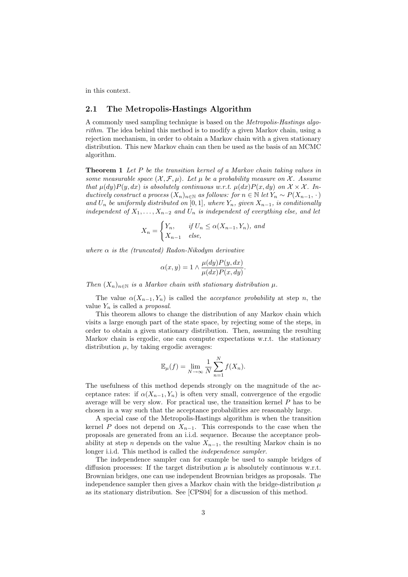in this context.

#### 2.1 The Metropolis-Hastings Algorithm

A commonly used sampling technique is based on the Metropolis-Hastings algorithm. The idea behind this method is to modify a given Markov chain, using a rejection mechanism, in order to obtain a Markov chain with a given stationary distribution. This new Markov chain can then be used as the basis of an MCMC algorithm.

Theorem 1 Let P be the transition kernel of a Markov chain taking values in some measurable space  $(\mathcal{X}, \mathcal{F}, \mu)$ . Let  $\mu$  be a probability measure on X. Assume that  $\mu(dy)P(y, dx)$  is absolutely continuous w.r.t.  $\mu(dx)P(x, dy)$  on  $\mathcal{X} \times \mathcal{X}$ . Inductively construct a process  $(X_n)_{n\in\mathbb{N}}$  as follows: for  $n \in \mathbb{N}$  let  $Y_n \sim P(X_{n-1}, \cdot)$ and  $U_n$  be uniformly distributed on [0, 1], where  $Y_n$ , given  $X_{n-1}$ , is conditionally independent of  $X_1, \ldots, X_{n-2}$  and  $U_n$  is independent of everything else, and let

$$
X_n = \begin{cases} Y_n, & \text{if } U_n \le \alpha(X_{n-1}, Y_n), \text{ and} \\ X_{n-1} & \text{else,} \end{cases}
$$

where  $\alpha$  is the (truncated) Radon-Nikodym derivative

$$
\alpha(x,y) = 1 \wedge \frac{\mu(dy)P(y,dx)}{\mu(dx)P(x,dy)}.
$$

Then  $(X_n)_{n\in\mathbb{N}}$  is a Markov chain with stationary distribution  $\mu$ .

The value  $\alpha(X_{n-1}, Y_n)$  is called the *acceptance probability* at step *n*, the value  $Y_n$  is called a *proposal*.

This theorem allows to change the distribution of any Markov chain which visits a large enough part of the state space, by rejecting some of the steps, in order to obtain a given stationary distribution. Then, assuming the resulting Markov chain is ergodic, one can compute expectations w.r.t. the stationary distribution  $\mu$ , by taking ergodic averages:

$$
\mathbb{E}_{\mu}(f) = \lim_{N \to \infty} \frac{1}{N} \sum_{n=1}^{N} f(X_n).
$$

The usefulness of this method depends strongly on the magnitude of the acceptance rates: if  $\alpha(X_{n-1}, Y_n)$  is often very small, convergence of the ergodic average will be very slow. For practical use, the transition kernel P has to be chosen in a way such that the acceptance probabilities are reasonably large.

A special case of the Metropolis-Hastings algorithm is when the transition kernel P does not depend on  $X_{n-1}$ . This corresponds to the case when the proposals are generated from an i.i.d. sequence. Because the acceptance probability at step n depends on the value  $X_{n-1}$ , the resulting Markov chain is no longer i.i.d. This method is called the *independence sampler*.

The independence sampler can for example be used to sample bridges of diffusion processes: If the target distribution  $\mu$  is absolutely continuous w.r.t. Brownian bridges, one can use independent Brownian bridges as proposals. The independence sampler then gives a Markov chain with the bridge-distribution  $\mu$ as its stationary distribution. See [CPS04] for a discussion of this method.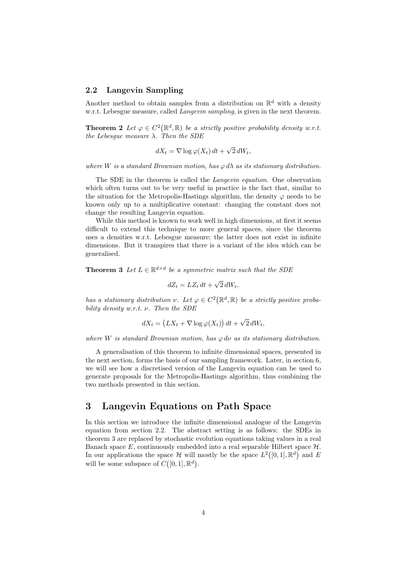#### 2.2 Langevin Sampling

Another method to obtain samples from a distribution on  $\mathbb{R}^d$  with a density w.r.t. Lebesgue measure, called *Langevin sampling*, is given in the next theorem.

**Theorem 2** Let  $\varphi \in C^2(\mathbb{R}^d, \mathbb{R})$  be a strictly positive probability density w.r.t. the Lebesque measure  $\lambda$ . Then the SDE

$$
dX_t = \nabla \log \varphi(X_t) dt + \sqrt{2} dW_t,
$$

where W is a standard Brownian motion, has  $\varphi$  d $\lambda$  as its stationary distribution.

The SDE in the theorem is called the Langevin equation. One observation which often turns out to be very useful in practice is the fact that, similar to the situation for the Metropolis-Hastings algorithm, the density  $\varphi$  needs to be known only up to a multiplicative constant: changing the constant does not change the resulting Langevin equation.

While this method is known to work well in high dimensions, at first it seems difficult to extend this technique to more general spaces, since the theorem uses a densities w.r.t. Lebesgue measure; the latter does not exist in infinite dimensions. But it transpires that there is a variant of the idea which can be generalised.

**Theorem 3** Let  $L \in \mathbb{R}^{d \times d}$  be a symmetric matrix such that the SDE

$$
dZ_t = LZ_t dt + \sqrt{2} dW_t,
$$

has a stationary distribution v. Let  $\varphi \in C^2(\mathbb{R}^d, \mathbb{R})$  be a strictly positive probability density w.r.t.  $\nu$ . Then the SDE

$$
dX_t = (LX_t + \nabla \log \varphi(X_t)) dt + \sqrt{2} dW_t,
$$

where W is standard Brownian motion, has  $\varphi$  dv as its stationary distribution.

A generalisation of this theorem to infinite dimensional spaces, presented in the next section, forms the basis of our sampling framework. Later, in section 6, we will see how a discretised version of the Langevin equation can be used to generate proposals for the Metropolis-Hastings algorithm, thus combining the two methods presented in this section.

### 3 Langevin Equations on Path Space

In this section we introduce the infinite dimensional analogue of the Langevin equation from section 2.2. The abstract setting is as follows: the SDEs in theorem 3 are replaced by stochastic evolution equations taking values in a real Banach space  $E$ , continuously embedded into a real separable Hilbert space  $\mathcal{H}$ . In our applications the space H will mostly be the space  $L^2([0,1], \mathbb{R}^d)$  and E will be some subspace of  $C([0, 1], \mathbb{R}^d)$ .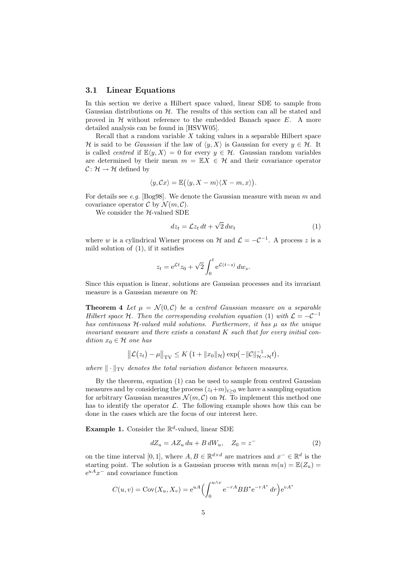#### 3.1 Linear Equations

In this section we derive a Hilbert space valued, linear SDE to sample from Gaussian distributions on  $H$ . The results of this section can all be stated and proved in  $H$  without reference to the embedded Banach space  $E$ . A more detailed analysis can be found in [HSVW05].

Recall that a random variable X taking values in a separable Hilbert space H is said to be *Gaussian* if the law of  $\langle y, X \rangle$  is Gaussian for every  $y \in \mathcal{H}$ . It is called *centred* if  $\mathbb{E}\langle y, X \rangle = 0$  for every  $y \in \mathcal{H}$ . Gaussian random variables are determined by their mean  $m = \mathbb{E} X \in \mathcal{H}$  and their covariance operator  $C: \mathcal{H} \to \mathcal{H}$  defined by

$$
\langle y, Cx \rangle = \mathbb{E}(\langle y, X - m \rangle \langle X - m, x \rangle).
$$

For details see e.g. [Bog98]. We denote the Gaussian measure with mean  $m$  and covariance operator  $\mathcal C$  by  $\mathcal N(m, \mathcal C)$ .

We consider the  $H$ -valued SDE

$$
dz_t = \mathcal{L}z_t dt + \sqrt{2} dw_t \tag{1}
$$

where w is a cylindrical Wiener process on  $\mathcal H$  and  $\mathcal L = -\mathcal L^{-1}$ . A process z is a mild solution of (1), if it satisfies

$$
z_t = e^{\mathcal{L}t} z_0 + \sqrt{2} \int_0^t e^{\mathcal{L}(t-s)} dw_s.
$$

Since this equation is linear, solutions are Gaussian processes and its invariant measure is a Gaussian measure on  $\mathcal{H}$ :

**Theorem 4** Let  $\mu = \mathcal{N}(0, \mathcal{C})$  be a centred Gaussian measure on a separable Hilbert space H. Then the corresponding evolution equation (1) with  $\mathcal{L} = -\mathcal{C}^{-1}$ has continuous  $\mathcal{H}\text{-}valued$  mild solutions. Furthermore, it has  $\mu$  as the unique invariant measure and there exists a constant  $K$  such that for every initial condition  $x_0 \in \mathcal{H}$  one has

$$
\left\|\mathcal{L}(z_t)-\mu\right\|_{\text{TV}} \leq K\left(1+\|x_0\|_{\mathcal{H}}\right) \exp\left(-\|\mathcal{C}\|_{\mathcal{H}\to\mathcal{H}}^{-1}t\right),\,
$$

where  $\|\cdot\|_{TV}$  denotes the total variation distance between measures.

By the theorem, equation (1) can be used to sample from centred Gaussian measures and by considering the process  $(z_t+m)_{t>0}$  we have a sampling equation for arbitrary Gaussian measures  $\mathcal{N}(m, \mathcal{C})$  on  $\mathcal{H}$ . To implement this method one has to identify the operator  $\mathcal{L}$ . The following example shows how this can be done in the cases which are the focus of our interest here.

**Example 1.** Consider the  $\mathbb{R}^d$ -valued, linear SDE

$$
dZ_u = AZ_u du + B dW_u, \quad Z_0 = z^- \tag{2}
$$

on the time interval [0, 1], where  $A, B \in \mathbb{R}^{d \times d}$  are matrices and  $x^- \in \mathbb{R}^d$  is the starting point. The solution is a Gaussian process with mean  $m(u) = \mathbb{E}(Z_u)$  $e^{uA}x^-$  and covariance function

$$
C(u, v) = \text{Cov}(X_u, X_v) = e^{uA} \left( \int_0^{u \wedge v} e^{-rA} B B^* e^{-rA^*} dr \right) e^{vA^*}
$$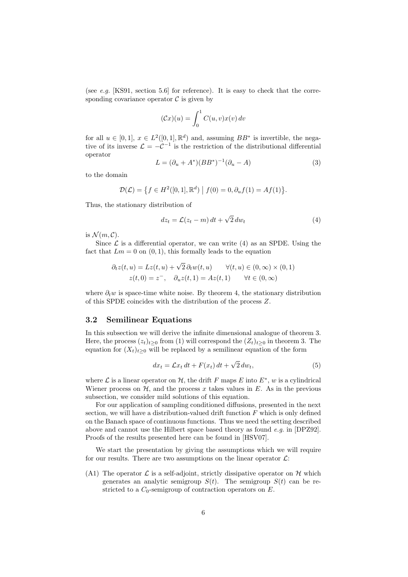(see e.g. [KS91, section 5.6] for reference). It is easy to check that the corresponding covariance operator  $\mathcal C$  is given by

$$
(\mathcal{C}x)(u) = \int_0^1 C(u,v)x(v) dv
$$

for all  $u \in [0,1], x \in L^2([0,1], \mathbb{R}^d)$  and, assuming  $BB^*$  is invertible, the negative of its inverse  $\mathcal{L} = -\mathcal{C}^{-1}$  is the restriction of the distributional differential operator

$$
L = (\partial_u + A^*)(BB^*)^{-1}(\partial_u - A)
$$
 (3)

to the domain

$$
\mathcal{D}(\mathcal{L}) = \left\{ f \in H^2([0,1], \mathbb{R}^d) \; \middle| \; f(0) = 0, \partial_u f(1) = A f(1) \right\}.
$$

Thus, the stationary distribution of

$$
dz_t = \mathcal{L}(z_t - m) dt + \sqrt{2} dw_t
$$
 (4)

is  $\mathcal{N}(m, \mathcal{C})$ .

Since  $\mathcal L$  is a differential operator, we can write (4) as an SPDE. Using the fact that  $Lm = 0$  on  $(0, 1)$ , this formally leads to the equation

$$
\partial_t z(t, u) = Lz(t, u) + \sqrt{2} \partial_t w(t, u) \qquad \forall (t, u) \in (0, \infty) \times (0, 1)
$$
  

$$
z(t, 0) = z^-, \quad \partial_u z(t, 1) = Az(t, 1) \qquad \forall t \in (0, \infty)
$$

where  $\partial_t w$  is space-time white noise. By theorem 4, the stationary distribution of this SPDE coincides with the distribution of the process Z.

#### 3.2 Semilinear Equations

In this subsection we will derive the infinite dimensional analogue of theorem 3. Here, the process  $(z_t)_{t>0}$  from (1) will correspond the  $(Z_t)_{t>0}$  in theorem 3. The equation for  $(X_t)_{t>0}$  will be replaced by a semilinear equation of the form

$$
dx_t = \mathcal{L}x_t dt + F(x_t) dt + \sqrt{2} dw_t,
$$
\n(5)

where  $\mathcal L$  is a linear operator on  $\mathcal H$ , the drift F maps E into  $E^*$ , w is a cylindrical Wiener process on  $\mathcal{H}$ , and the process x takes values in E. As in the previous subsection, we consider mild solutions of this equation.

For our application of sampling conditioned diffusions, presented in the next section, we will have a distribution-valued drift function  $F$  which is only defined on the Banach space of continuous functions. Thus we need the setting described above and cannot use the Hilbert space based theory as found  $e.g.$  in [DPZ92]. Proofs of the results presented here can be found in [HSV07].

We start the presentation by giving the assumptions which we will require for our results. There are two assumptions on the linear operator  $\mathcal{L}$ :

(A1) The operator  $\mathcal L$  is a self-adjoint, strictly dissipative operator on  $\mathcal H$  which generates an analytic semigroup  $S(t)$ . The semigroup  $S(t)$  can be restricted to a  $C_0$ -semigroup of contraction operators on  $E$ .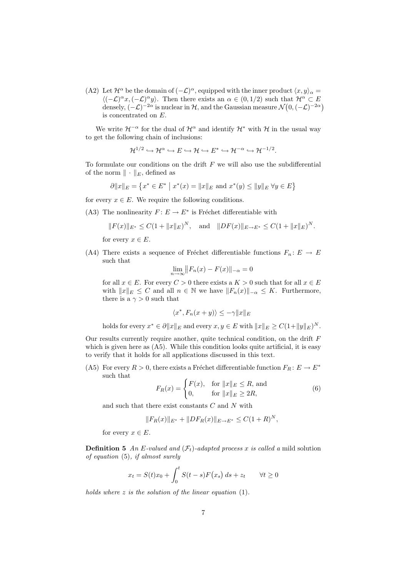(A2) Let  $\mathcal{H}^{\alpha}$  be the domain of  $(-\mathcal{L})^{\alpha}$ , equipped with the inner product  $\langle x, y \rangle_{\alpha} =$  $\langle (-\mathcal{L})^{\alpha} x, (-\mathcal{L})^{\alpha} y \rangle$ . Then there exists an  $\alpha \in (0, 1/2)$  such that  $\mathcal{H}^{\alpha} \subset E$ densely,  $(-\mathcal{L})^{-2\alpha}$  is nuclear in  $\mathcal{H}$ , and the Gaussian measure  $\mathcal{N}(0, (-\mathcal{L})^{-2\alpha})$ is concentrated on E.

We write  $\mathcal{H}^{-\alpha}$  for the dual of  $\mathcal{H}^{\alpha}$  and identify  $\mathcal{H}^*$  with  $\mathcal{H}$  in the usual way to get the following chain of inclusions:

$$
\mathcal{H}^{1/2} \hookrightarrow \mathcal{H}^{\alpha} \hookrightarrow E \hookrightarrow \mathcal{H} \hookrightarrow E^* \hookrightarrow \mathcal{H}^{-\alpha} \hookrightarrow \mathcal{H}^{-1/2}.
$$

To formulate our conditions on the drift  $F$  we will also use the subdifferential of the norm  $\|\cdot\|_E$ , defined as

$$
\partial ||x||_E = \{x^* \in E^* \mid x^*(x) = ||x||_E \text{ and } x^*(y) \le ||y||_E \,\forall y \in E\}
$$

for every  $x \in E$ . We require the following conditions.

(A3) The nonlinearity  $F: E \to E^*$  is Fréchet differentiable with

$$
||F(x)||_{E^*} \leq C(1+||x||_E)^N
$$
, and  $||DF(x)||_{E\to E^*} \leq C(1+||x||_E)^N$ .

for every  $x \in E$ .

(A4) There exists a sequence of Fréchet differentiable functions  $F_n: E \to E$ such that

$$
\lim_{n \to \infty} ||F_n(x) - F(x)||_{-\alpha} = 0
$$

for all  $x \in E$ . For every  $C > 0$  there exists a  $K > 0$  such that for all  $x \in E$ with  $||x||_E \leq C$  and all  $n \in \mathbb{N}$  we have  $||F_n(x)||_{-\alpha} \leq K$ . Furthermore, there is a  $\gamma > 0$  such that

$$
\langle x^*, F_n(x+y) \rangle \le -\gamma \|x\|_E
$$

holds for every  $x^* \in \partial ||x||_E$  and every  $x, y \in E$  with  $||x||_E \geq C(1+||y||_E)^N$ .

Our results currently require another, quite technical condition, on the drift  $F$ which is given here as  $(A5)$ . While this condition looks quite artificial, it is easy to verify that it holds for all applications discussed in this text.

(A5) For every  $R > 0$ , there exists a Fréchet differentiable function  $F_R : E \to E^*$ such that

$$
F_R(x) = \begin{cases} F(x), & \text{for } \|x\|_E \le R \text{, and} \\ 0, & \text{for } \|x\|_E \ge 2R, \end{cases} \tag{6}
$$

and such that there exist constants  $C$  and  $N$  with

$$
||F_R(x)||_{E^*} + ||DF_R(x)||_{E \to E^*} \le C(1+R)^N,
$$

for every  $x \in E$ .

**Definition 5** An E-valued and  $(\mathcal{F}_t)$ -adapted process x is called a mild solution of equation (5), if almost surely

$$
x_t = S(t)x_0 + \int_0^t S(t-s)F(x_s) ds + z_t \quad \forall t \ge 0
$$

holds where  $z$  is the solution of the linear equation  $(1)$ .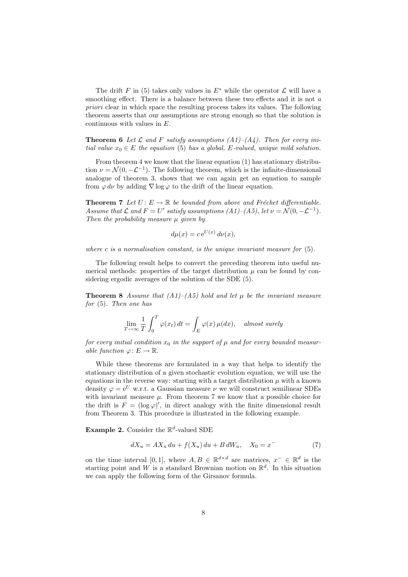The drift F in (5) takes only values in  $E^*$  while the operator  $\mathcal L$  will have a smoothing effect. There is a balance between these two effects and it is not a priori clear in which space the resulting process takes its values. The following theorem asserts that our assumptions are strong enough so that the solution is continuous with values in E.

**Theorem 6** Let  $\mathcal L$  and F satisfy assumptions  $(A1)$ – $(A\mathcal L)$ . Then for every initial value  $x_0 \in E$  the equation (5) has a global, E-valued, unique mild solution.

From theorem 4 we know that the linear equation (1) has stationary distribution  $\nu = \mathcal{N}(0, -\mathcal{L}^{-1})$ . The following theorem, which is the infinite-dimensional analogue of theorem 3, shows that we can again get an equation to sample from  $\varphi d\nu$  by adding  $\nabla$  log  $\varphi$  to the drift of the linear equation.

**Theorem 7** Let  $U: E \to \mathbb{R}$  be bounded from above and Fréchet differentiable. Assume that  $\mathcal L$  and  $F = U'$  satisfy assumptions  $(A1)$ – $(A5)$ , let  $\nu = \mathcal N(0, -\mathcal L^{-1})$ . Then the probability measure  $\mu$  given by

$$
d\mu(x) = c e^{U(x)} d\nu(x),
$$

where c is a normalisation constant, is the unique invariant measure for  $(5)$ .

The following result helps to convert the preceding theorem into useful numerical methods: properties of the target distribution  $\mu$  can be found by considering ergodic averages of the solution of the SDE (5).

**Theorem 8** Assume that  $(A1)$ – $(A5)$  hold and let  $\mu$  be the invariant measure for (5). Then one has

$$
\lim_{T \to \infty} \frac{1}{T} \int_0^T \varphi(x_t) dt = \int_E \varphi(x) \mu(dx), \quad \text{almost surely}
$$

for every initial condition  $x_0$  in the support of  $\mu$  and for every bounded measurable function  $\varphi: E \to \mathbb{R}$ .

While these theorems are formulated in a way that helps to identify the stationary distribution of a given stochastic evolution equation, we will use the equations in the reverse way: starting with a target distribution  $\mu$  with a known density  $\varphi = e^U$  w.r.t. a Gaussian measure  $\nu$  we will construct semilinear SDEs with invariant measure  $\mu$ . From theorem 7 we know that a possible choice for the drift is  $F = (\log \varphi)'$ , in direct analogy with the finite dimensional result from Theorem 3. This procedure is illustrated in the following example.

Example 2. Consider the  $\mathbb{R}^d$ -valued SDE

$$
dX_u = AX_u \, du + f(X_u) \, du + B \, dW_u, \quad X_0 = x^- \tag{7}
$$

on the time interval [0,1], where  $A, B \in \mathbb{R}^{d \times d}$  are matrices,  $x^{-} \in \mathbb{R}^{d}$  is the starting point and W is a standard Brownian motion on  $\mathbb{R}^d$ . In this situation we can apply the following form of the Girsanov formula.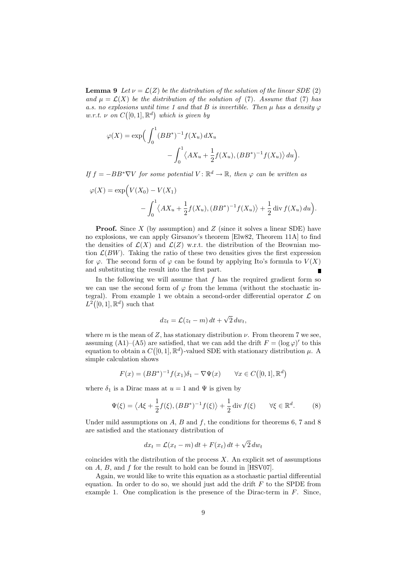**Lemma 9** Let  $\nu = \mathcal{L}(Z)$  be the distribution of the solution of the linear SDE (2) and  $\mu = \mathcal{L}(X)$  be the distribution of the solution of (7). Assume that (7) has a.s. no explosions until time 1 and that B is invertible. Then  $\mu$  has a density  $\varphi$ w.r.t.  $\nu$  on  $C([0,1], \mathbb{R}^d)$  which is given by

$$
\varphi(X) = \exp\Big(\int_0^1 (BB^*)^{-1} f(X_u) dX_u - \int_0^1 \langle AX_u + \frac{1}{2} f(X_u), (BB^*)^{-1} f(X_u) \rangle du\Big).
$$

If  $f = -BB^* \nabla V$  for some potential  $V : \mathbb{R}^d \to \mathbb{R}$ , then  $\varphi$  can be written as

$$
\varphi(X) = \exp\Big(V(X_0) - V(X_1) - \int_0^1 \langle AX_u + \frac{1}{2}f(X_u), (BB^*)^{-1}f(X_u)\rangle + \frac{1}{2}\operatorname{div} f(X_u) du\Big).
$$

**Proof.** Since  $X$  (by assumption) and  $Z$  (since it solves a linear SDE) have no explosions, we can apply Girsanov's theorem [Elw82, Theorem 11A] to find the densities of  $\mathcal{L}(X)$  and  $\mathcal{L}(Z)$  w.r.t. the distribution of the Brownian motion  $\mathcal{L}(BW)$ . Taking the ratio of these two densities gives the first expression for  $\varphi$ . The second form of  $\varphi$  can be found by applying Ito's formula to  $V(X)$ and substituting the result into the first part. Г

In the following we will assume that  $f$  has the required gradient form so we can use the second form of  $\varphi$  from the lemma (without the stochastic integral). From example 1 we obtain a second-order differential operator  $\mathcal L$  on  $L^2([0,1], \mathbb{R}^d)$  such that

$$
dz_t = \mathcal{L}(z_t - m) dt + \sqrt{2} dw_t,
$$

where m is the mean of Z, has stationary distribution  $\nu$ . From theorem 7 we see, assuming (A1)–(A5) are satisfied, that we can add the drift  $F = (\log \varphi)'$  to this equation to obtain a  $C([0,1], \mathbb{R}^d)$ -valued SDE with stationary distribution  $\mu$ . A simple calculation shows

$$
F(x) = (BB^*)^{-1} f(x_1) \delta_1 - \nabla \Psi(x) \qquad \forall x \in C([0, 1], \mathbb{R}^d)
$$

where  $\delta_1$  is a Dirac mass at  $u = 1$  and  $\Psi$  is given by

$$
\Psi(\xi) = \left\langle A\xi + \frac{1}{2}f(\xi), (BB^*)^{-1}f(\xi) \right\rangle + \frac{1}{2} \operatorname{div} f(\xi) \qquad \forall \xi \in \mathbb{R}^d. \tag{8}
$$

Under mild assumptions on  $A, B$  and  $f$ , the conditions for theorems 6, 7 and 8 are satisfied and the stationary distribution of

$$
dx_t = \mathcal{L}(x_t - m) dt + F(x_t) dt + \sqrt{2} dw_t
$$

coincides with the distribution of the process  $X$ . An explicit set of assumptions on A, B, and f for the result to hold can be found in [HSV07].

Again, we would like to write this equation as a stochastic partial differential equation. In order to do so, we should just add the drift  $F$  to the SPDE from example 1. One complication is the presence of the Dirac-term in  $F$ . Since,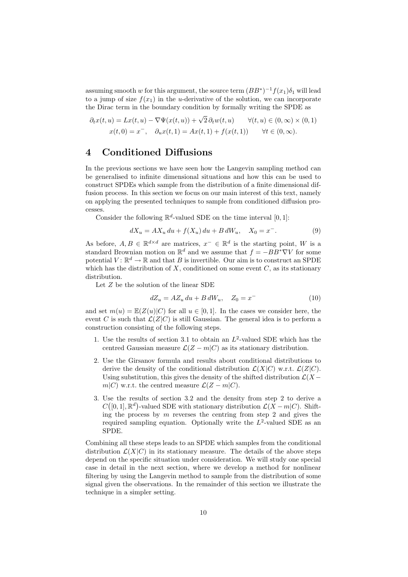assuming smooth w for this argument, the source term  $(BB^*)^{-1}f(x_1)\delta_1$  will lead to a jump of size  $f(x_1)$  in the *u*-derivative of the solution, we can incorporate the Dirac term in the boundary condition by formally writing the SPDE as

$$
\partial_t x(t, u) = Lx(t, u) - \nabla \Psi(x(t, u)) + \sqrt{2} \partial_t w(t, u) \qquad \forall (t, u) \in (0, \infty) \times (0, 1)
$$

$$
x(t, 0) = x^-, \quad \partial_u x(t, 1) = Ax(t, 1) + f(x(t, 1)) \qquad \forall t \in (0, \infty).
$$

### 4 Conditioned Diffusions

In the previous sections we have seen how the Langevin sampling method can be generalised to infinite dimensional situations and how this can be used to construct SPDEs which sample from the distribution of a finite dimensional diffusion process. In this section we focus on our main interest of this text, namely on applying the presented techniques to sample from conditioned diffusion processes.

Consider the following  $\mathbb{R}^d$ -valued SDE on the time interval [0, 1]:

$$
dX_u = AX_u \, du + f(X_u) \, du + B \, dW_u, \quad X_0 = x^-.
$$
 (9)

As before,  $A, B \in \mathbb{R}^{d \times d}$  are matrices,  $x^- \in \mathbb{R}^d$  is the starting point, W is a standard Brownian motion on  $\mathbb{R}^d$  and we assume that  $f = -BB^* \nabla V$  for some potential  $V: \mathbb{R}^d \to \mathbb{R}$  and that B is invertible. Our aim is to construct an SPDE which has the distribution of  $X$ , conditioned on some event  $C$ , as its stationary distribution.

Let Z be the solution of the linear SDE

$$
dZ_u = AZ_u du + B dW_u, \quad Z_0 = x^- \tag{10}
$$

and set  $m(u) = \mathbb{E}(Z(u)|C)$  for all  $u \in [0, 1]$ . In the cases we consider here, the event C is such that  $\mathcal{L}(Z|C)$  is still Gaussian. The general idea is to perform a construction consisting of the following steps.

- 1. Use the results of section 3.1 to obtain an  $L^2$ -valued SDE which has the centred Gaussian measure  $\mathcal{L}(Z - m|C)$  as its stationary distribution.
- 2. Use the Girsanov formula and results about conditional distributions to derive the density of the conditional distribution  $\mathcal{L}(X|C)$  w.r.t.  $\mathcal{L}(Z|C)$ . Using substitution, this gives the density of the shifted distribution  $\mathcal{L}(X$ m|C) w.r.t. the centred measure  $\mathcal{L}(Z - m|C)$ .
- 3. Use the results of section 3.2 and the density from step 2 to derive a  $C([0,1], \mathbb{R}^d)$ -valued SDE with stationary distribution  $\mathcal{L}(X-m|C)$ . Shifting the process by  $m$  reverses the centring from step 2 and gives the required sampling equation. Optionally write the  $L^2$ -valued SDE as an SPDE.

Combining all these steps leads to an SPDE which samples from the conditional distribution  $\mathcal{L}(X|C)$  in its stationary measure. The details of the above steps depend on the specific situation under consideration. We will study one special case in detail in the next section, where we develop a method for nonlinear filtering by using the Langevin method to sample from the distribution of some signal given the observations. In the remainder of this section we illustrate the technique in a simpler setting.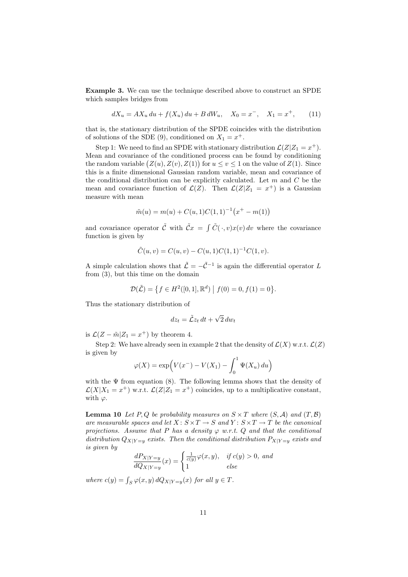Example 3. We can use the technique described above to construct an SPDE which samples bridges from

$$
dX_u = AX_u du + f(X_u) du + B dW_u, \quad X_0 = x^-, \quad X_1 = x^+, \tag{11}
$$

that is, the stationary distribution of the SPDE coincides with the distribution of solutions of the SDE (9), conditioned on  $X_1 = x^+$ .

Step 1: We need to find an SPDE with stationary distribution  $\mathcal{L}(Z|Z_1 = x^+)$ . Mean and covariance of the conditioned process can be found by conditioning the random variable  $(Z(u), Z(v), Z(1))$  for  $u \le v \le 1$  on the value of  $Z(1)$ . Since this is a finite dimensional Gaussian random variable, mean and covariance of the conditional distribution can be explicitly calculated. Let  $m$  and  $C$  be the mean and covariance function of  $\mathcal{L}(Z)$ . Then  $\mathcal{L}(Z|Z_1 = x^+)$  is a Gaussian measure with mean

$$
\tilde{m}(u) = m(u) + C(u, 1)C(1, 1)^{-1}(x^+ - m(1))
$$

and covariance operator  $\tilde{\mathcal{C}}$  with  $\tilde{\mathcal{C}}x = \int \tilde{\mathcal{C}}(\cdot, v)x(v) dv$  where the covariance function is given by

$$
\tilde{C}(u,v) = C(u,v) - C(u,1)C(1,1)^{-1}C(1,v).
$$

A simple calculation shows that  $\tilde{\mathcal{L}} = -\tilde{\mathcal{C}}^{-1}$  is again the differential operator L from (3), but this time on the domain

$$
\mathcal{D}(\tilde{\mathcal{L}}) = \{ f \in H^2([0,1], \mathbb{R}^d) \mid f(0) = 0, f(1) = 0 \}.
$$

Thus the stationary distribution of

$$
dz_t = \tilde{\mathcal{L}} z_t dt + \sqrt{2} dw_t
$$

is  $\mathcal{L}(Z - \tilde{m}|Z_1 = x^+)$  by theorem 4.

Step 2: We have already seen in example 2 that the density of  $\mathcal{L}(X)$  w.r.t.  $\mathcal{L}(Z)$ is given by

$$
\varphi(X) = \exp\left(V(x^-) - V(X_1) - \int_0^1 \Psi(X_u) \, du\right)
$$

with the  $\Psi$  from equation (8). The following lemma shows that the density of  $\mathcal{L}(X|X_1 = x^+)$  w.r.t.  $\mathcal{L}(Z|Z_1 = x^+)$  coincides, up to a multiplicative constant, with  $\varphi$ .

**Lemma 10** Let P, Q be probability measures on  $S \times T$  where  $(S, \mathcal{A})$  and  $(T, \mathcal{B})$ are measurable spaces and let  $X: S \times T \to S$  and  $Y: S \times T \to T$  be the canonical projections. Assume that P has a density  $\varphi$  w.r.t. Q and that the conditional distribution  $Q_{X|Y=y}$  exists. Then the conditional distribution  $P_{X|Y=y}$  exists and is given by

$$
\frac{dP_{X|Y=y}}{dQ_{X|Y=y}}(x) = \begin{cases} \frac{1}{c(y)}\varphi(x,y), & \text{if } c(y) > 0, \text{ and} \\ 1 & \text{else} \end{cases}
$$

where  $c(y) = \int_S \varphi(x, y) dQ_{X|Y=y}(x)$  for all  $y \in T$ .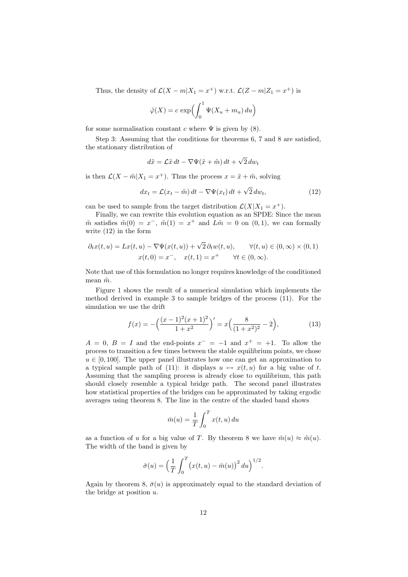Thus, the density of  $\mathcal{L}(X - m | X_1 = x^+)$  w.r.t.  $\mathcal{L}(Z - m | Z_1 = x^+)$  is

$$
\tilde{\varphi}(X) = c \exp\left(\int_0^1 \Psi(X_u + m_u) \, du\right)
$$

for some normalisation constant c where  $\Psi$  is given by (8).

Step 3: Assuming that the conditions for theorems 6, 7 and 8 are satisfied, the stationary distribution of

$$
d\tilde{x} = \mathcal{L}\tilde{x} dt - \nabla \Psi(\tilde{x} + \tilde{m}) dt + \sqrt{2} dw_t
$$

is then  $\mathcal{L}(X - \tilde{m}|X_1 = x^+)$ . Thus the process  $x = \tilde{x} + \tilde{m}$ , solving

$$
dx_t = \mathcal{L}(x_t - \tilde{m}) dt - \nabla \Psi(x_t) dt + \sqrt{2} dw_t,
$$
\n(12)

can be used to sample from the target distribution  $\mathcal{L}(X|X_1 = x^+)$ .

Finally, we can rewrite this evolution equation as an SPDE: Since the mean  $\tilde{m}$  satisfies  $\tilde{m}(0) = x^{-}$ ,  $\tilde{m}(1) = x^{+}$  and  $L\tilde{m} = 0$  on  $(0, 1)$ , we can formally write (12) in the form

$$
\partial_t x(t, u) = Lx(t, u) - \nabla \Psi(x(t, u)) + \sqrt{2} \partial_t w(t, u), \qquad \forall (t, u) \in (0, \infty) \times (0, 1)
$$

$$
x(t, 0) = x^-, \quad x(t, 1) = x^+ \qquad \forall t \in (0, \infty).
$$

Note that use of this formulation no longer requires knowledge of the conditioned mean  $\tilde{m}$ .

Figure 1 shows the result of a numerical simulation which implements the method derived in example 3 to sample bridges of the process (11). For the simulation we use the drift

$$
f(x) = -\left(\frac{(x-1)^2(x+1)^2}{1+x^2}\right)' = x\left(\frac{8}{(1+x^2)^2} - 2\right),\tag{13}
$$

 $A = 0, B = I$  and the end-points  $x^- = -1$  and  $x^+ = +1$ . To allow the process to transition a few times between the stable equilibrium points, we chose  $u \in [0, 100]$ . The upper panel illustrates how one can get an approximation to a typical sample path of (11): it displays  $u \mapsto x(t, u)$  for a big value of t. Assuming that the sampling process is already close to equilibrium, this path should closely resemble a typical bridge path. The second panel illustrates how statistical properties of the bridges can be approximated by taking ergodic averages using theorem 8. The line in the centre of the shaded band shows

$$
\bar{m}(u) = \frac{1}{T} \int_0^T x(t, u) \, du
$$

as a function of u for a big value of T. By theorem 8 we have  $\bar{m}(u) \approx \tilde{m}(u)$ . The width of the band is given by

$$
\bar{\sigma}(u) = \left(\frac{1}{T} \int_0^T \left(x(t, u) - \bar{m}(u)\right)^2 du\right)^{1/2}.
$$

Again by theorem 8,  $\bar{\sigma}(u)$  is approximately equal to the standard deviation of the bridge at position  $u$ .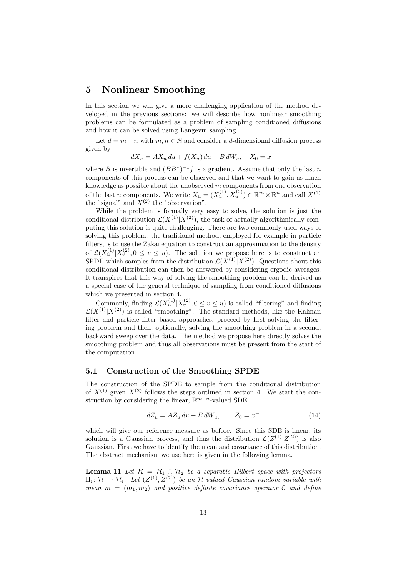### 5 Nonlinear Smoothing

In this section we will give a more challenging application of the method developed in the previous sections: we will describe how nonlinear smoothing problems can be formulated as a problem of sampling conditioned diffusions and how it can be solved using Langevin sampling.

Let  $d = m + n$  with  $m, n \in \mathbb{N}$  and consider a d-dimensional diffusion process given by

$$
dX_u = AX_u du + f(X_u) du + B dW_u, \quad X_0 = x^-
$$

where B is invertible and  $(BB^*)^{-1}f$  is a gradient. Assume that only the last n components of this process can be observed and that we want to gain as much knowledge as possible about the unobserved  $m$  components from one observation of the last *n* components. We write  $X_u = (X_u^{(1)}, X_u^{(2)}) \in \mathbb{R}^m \times \mathbb{R}^n$  and call  $X^{(1)}$ the "signal" and  $X^{(2)}$  the "observation".

While the problem is formally very easy to solve, the solution is just the conditional distribution  $\mathcal{L}(X^{(1)}|X^{(2)})$ , the task of actually algorithmically computing this solution is quite challenging. There are two commonly used ways of solving this problem: the traditional method, employed for example in particle filters, is to use the Zakai equation to construct an approximation to the density of  $\mathcal{L}(X_u^{(1)} | X_v^{(2)}, 0 \le v \le u)$ . The solution we propose here is to construct an SPDE which samples from the distribution  $\mathcal{L}(X^{(1)}|X^{(2)})$ . Questions about this conditional distribution can then be answered by considering ergodic averages. It transpires that this way of solving the smoothing problem can be derived as a special case of the general technique of sampling from conditioned diffusions which we presented in section 4.

Commonly, finding  $\mathcal{L}(X_u^{(1)} | X_v^{(2)}, 0 \le v \le u)$  is called "filtering" and finding  $\mathcal{L}(X^{(1)}|X^{(2)})$  is called "smoothing". The standard methods, like the Kalman filter and particle filter based approaches, proceed by first solving the filtering problem and then, optionally, solving the smoothing problem in a second, backward sweep over the data. The method we propose here directly solves the smoothing problem and thus all observations must be present from the start of the computation.

#### 5.1 Construction of the Smoothing SPDE

The construction of the SPDE to sample from the conditional distribution of  $X^{(1)}$  given  $X^{(2)}$  follows the steps outlined in section 4. We start the construction by considering the linear,  $\mathbb{R}^{m+n}$ -valued SDE

$$
dZ_u = AZ_u du + B dW_u, \qquad Z_0 = x^- \tag{14}
$$

which will give our reference measure as before. Since this SDE is linear, its solution is a Gaussian process, and thus the distribution  $\mathcal{L}(Z^{(1)}|Z^{(2)})$  is also Gaussian. First we have to identify the mean and covariance of this distribution. The abstract mechanism we use here is given in the following lemma.

**Lemma 11** Let  $\mathcal{H} = \mathcal{H}_1 \oplus \mathcal{H}_2$  be a separable Hilbert space with projectors  $\Pi_i: \mathcal{H} \to \mathcal{H}_i$ . Let  $(Z^{(1)}, Z^{(2)})$  be an H-valued Gaussian random variable with mean  $m = (m_1, m_2)$  and positive definite covariance operator C and define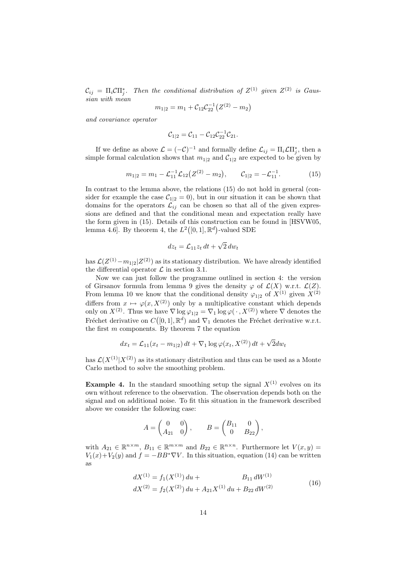$\mathcal{C}_{ij} \, = \, \Pi_i \mathcal{C} \Pi_j^*$ . Then the conditional distribution of  $Z^{(1)}$  given  $Z^{(2)}$  is Gaussian with mean

$$
m_{1|2} = m_1 + C_{12}C_{22}^{-1}(Z^{(2)} - m_2)
$$

and covariance operator

$$
\mathcal{C}_{1|2} = \mathcal{C}_{11} - \mathcal{C}_{12}\mathcal{C}_{22}^{-1}\mathcal{C}_{21}.
$$

If we define as above  $\mathcal{L} = (-\mathcal{C})^{-1}$  and formally define  $\mathcal{L}_{ij} = \Pi_i \mathcal{L} \Pi_j^*$ , then a simple formal calculation shows that  $m_{1|2}$  and  $C_{1|2}$  are expected to be given by

$$
m_{1|2} = m_1 - \mathcal{L}_{11}^{-1} \mathcal{L}_{12} (Z^{(2)} - m_2), \qquad \mathcal{C}_{1|2} = -\mathcal{L}_{11}^{-1}.
$$
 (15)

In contrast to the lemma above, the relations (15) do not hold in general (consider for example the case  $C_{1|2} = 0$ , but in our situation it can be shown that domains for the operators  $\mathcal{L}_{ij}$  can be chosen so that all of the given expressions are defined and that the conditional mean and expectation really have the form given in (15). Details of this construction can be found in [HSVW05, lemma 4.6. By theorem 4, the  $L^2([0,1], \mathbb{R}^d)$ -valued SDE

$$
dz_t = \mathcal{L}_{11} z_t dt + \sqrt{2} dw_t
$$

has  $\mathcal{L}(Z^{(1)} - m_{1|2}|Z^{(2)})$  as its stationary distribution. We have already identified the differential operator  $\mathcal L$  in section 3.1.

Now we can just follow the programme outlined in section 4: the version of Girsanov formula from lemma 9 gives the density  $\varphi$  of  $\mathcal{L}(X)$  w.r.t.  $\mathcal{L}(Z)$ . From lemma 10 we know that the conditional density  $\varphi_{1|2}$  of  $X^{(1)}$  given  $X^{(2)}$ differs from  $x \mapsto \varphi(x, X^{(2)})$  only by a multiplicative constant which depends only on  $X^{(2)}$ . Thus we have  $\nabla \log \varphi_{1|2} = \nabla_1 \log \varphi(\cdot, X^{(2)})$  where  $\nabla$  denotes the Fréchet derivative on  $C([0,1], \mathbb{R}^d)$  and  $\nabla_1$  denotes the Fréchet derivative w.r.t. the first  $m$  components. By theorem  $7$  the equation

$$
dx_t = \mathcal{L}_{11}(x_t - m_{1|2}) dt + \nabla_1 \log \varphi(x_t, X^{(2)}) dt + \sqrt{2} dw_t
$$

has  $\mathcal{L}(X^{(1)}|X^{(2)})$  as its stationary distribution and thus can be used as a Monte Carlo method to solve the smoothing problem.

**Example 4.** In the standard smoothing setup the signal  $X^{(1)}$  evolves on its own without reference to the observation. The observation depends both on the signal and on additional noise. To fit this situation in the framework described above we consider the following case:

$$
A = \begin{pmatrix} 0 & 0 \\ A_{21} & 0 \end{pmatrix}, \qquad B = \begin{pmatrix} B_{11} & 0 \\ 0 & B_{22} \end{pmatrix},
$$

with  $A_{21} \in \mathbb{R}^{n \times m}$ ,  $B_{11} \in \mathbb{R}^{m \times m}$  and  $B_{22} \in \mathbb{R}^{n \times n}$ . Furthermore let  $V(x, y) =$  $V_1(x)+V_2(y)$  and  $f = -BB^*\nabla V$ . In this situation, equation (14) can be written as

$$
dX^{(1)} = f_1(X^{(1)}) du + B_{11} dW^{(1)}
$$
  
\n
$$
dX^{(2)} = f_2(X^{(2)}) du + A_{21} X^{(1)} du + B_{22} dW^{(2)}
$$
\n(16)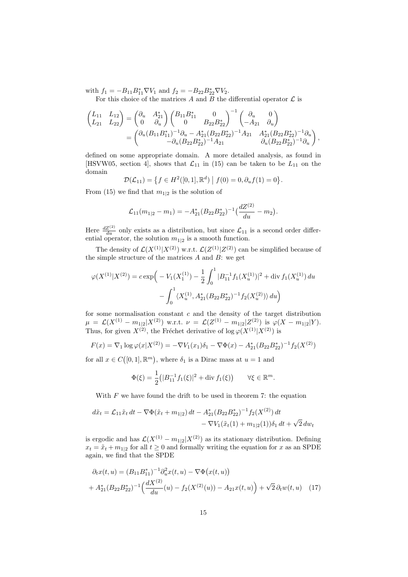with  $f_1 = -B_{11}B_{11}^* \nabla V_1$  and  $f_2 = -B_{22}B_{22}^* \nabla V_2$ .

For this choice of the matrices  $A$  and  $B$  the differential operator  $\mathcal L$  is

$$
\begin{aligned}\n\begin{pmatrix}\nL_{11} & L_{12} \\
L_{21} & L_{22}\n\end{pmatrix} &= \begin{pmatrix}\n\partial_u & A_{21}^* \\
0 & \partial_u\n\end{pmatrix} \begin{pmatrix}\nB_{11}B_{11}^* & 0 \\
0 & B_{22}B_{22}^*\n\end{pmatrix}^{-1} \begin{pmatrix}\n\partial_u & 0 \\
-A_{21} & \partial_u\n\end{pmatrix} \\
&= \begin{pmatrix}\n\partial_u (B_{11}B_{11}^*)^{-1} \partial_u - A_{21}^*(B_{22}B_{22}^*)^{-1} A_{21} & A_{21}^*(B_{22}B_{22}^*)^{-1} \partial_u \\
& -\partial_u (B_{22}B_{22}^*)^{-1} A_{21} & \partial_u (B_{22}B_{22}^*)^{-1} \partial_u\n\end{pmatrix},\n\end{aligned}
$$

defined on some appropriate domain. A more detailed analysis, as found in [HSVW05, section 4], shows that  $\mathcal{L}_{11}$  in (15) can be taken to be  $L_{11}$  on the domain

$$
\mathcal{D}(\mathcal{L}_{11}) = \{ f \in H^2([0,1], \mathbb{R}^d) \mid f(0) = 0, \partial_u f(1) = 0 \}.
$$

From (15) we find that  $m_{1|2}$  is the solution of

$$
\mathcal{L}_{11}(m_{1|2}-m_1)=-A_{21}^*(B_{22}B_{22}^*)^{-1}\left(\frac{dZ^{(2)}}{du}-m_2\right).
$$

Here  $\frac{dZ^{(2)}}{du}$  only exists as a distribution, but since  $\mathcal{L}_{11}$  is a second order differential operator, the solution  $m_{1|2}$  is a smooth function.

The density of  $\mathcal{L}(X^{(1)}|X^{(2)})$  w.r.t.  $\mathcal{L}(Z^{(1)}|Z^{(2)})$  can be simplified because of the simple structure of the matrices  $A$  and  $B$ : we get

$$
\varphi(X^{(1)}|X^{(2)}) = c \exp\Big(-V_1(X_1^{(1)}) - \frac{1}{2} \int_0^1 |B_{11}^{-1} f_1(X_u^{(1)})|^2 + \text{div } f_1(X_u^{(1)}) du - \int_0^1 \langle X_u^{(1)}, A_{21}^*(B_{22}B_{22}^*)^{-1} f_2(X_u^{(2)}) \rangle du\Big)
$$

for some normalisation constant  $c$  and the density of the target distribution  $\mu = \mathcal{L}(X^{(1)} - m_{1|2}|X^{(2)})$  w.r.t.  $\nu = \mathcal{L}(Z^{(1)} - m_{1|2}|Z^{(2)})$  is  $\varphi(X - m_{1|2}|Y)$ . Thus, for given  $X^{(2)}$ , the Fréchet derivative of  $\log \varphi(X^{(1)}|X^{(2)})$  is

$$
F(x) = \nabla_1 \log \varphi(x|X^{(2)}) = -\nabla V_1(x_1)\delta_1 - \nabla \Phi(x) - A_{21}^*(B_{22}B_{22}^*)^{-1}f_2(X^{(2)})
$$

for all  $x \in C([0,1], \mathbb{R}^m)$ , where  $\delta_1$  is a Dirac mass at  $u = 1$  and

$$
\Phi(\xi) = \frac{1}{2} (|B_{11}^{-1} f_1(\xi)|^2 + \text{div } f_1(\xi)) \qquad \forall \xi \in \mathbb{R}^m.
$$

With  $F$  we have found the drift to be used in theorem 7: the equation

$$
d\tilde{x}_t = \mathcal{L}_{11}\tilde{x}_t dt - \nabla \Phi(\tilde{x}_t + m_{1|2}) dt - A_{21}^*(B_{22}B_{22}^*)^{-1} f_2(X^{(2)}) dt - \nabla V_1(\tilde{x}_t(1) + m_{1|2}(1)) \delta_1 dt + \sqrt{2} dw_t
$$

is ergodic and has  $\mathcal{L}(X^{(1)} - m_{1|2}|X^{(2)})$  as its stationary distribution. Defining  $x_t = \tilde{x}_t + m_{1|2}$  for all  $t \geq 0$  and formally writing the equation for x as an SPDE again, we find that the SPDE

$$
\partial_t x(t, u) = (B_{11} B_{11}^*)^{-1} \partial_u^2 x(t, u) - \nabla \Phi(x(t, u))
$$
  
+ 
$$
A_{21}^*(B_{22} B_{22}^*)^{-1} \left( \frac{dX^{(2)}}{du}(u) - f_2(X^{(2)}(u)) - A_{21} x(t, u) \right) + \sqrt{2} \partial_t w(t, u) \tag{17}
$$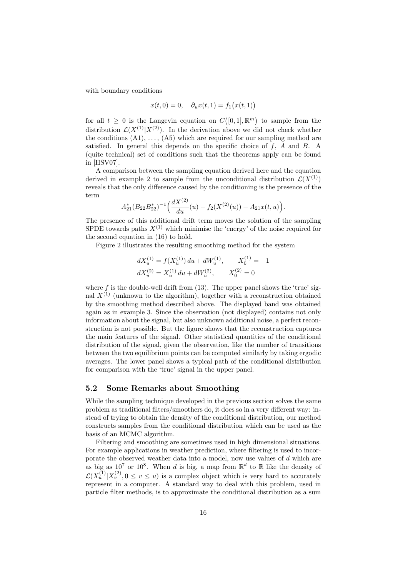with boundary conditions

$$
x(t, 0) = 0, \quad \partial_u x(t, 1) = f_1(x(t, 1))
$$

for all  $t \geq 0$  is the Langevin equation on  $C([0,1], \mathbb{R}^m)$  to sample from the distribution  $\mathcal{L}(X^{(1)}|X^{(2)})$ . In the derivation above we did not check whether the conditions  $(A1), \ldots, (A5)$  which are required for our sampling method are satisfied. In general this depends on the specific choice of  $f$ ,  $A$  and  $B$ . A (quite technical) set of conditions such that the theorems apply can be found in [HSV07].

A comparison between the sampling equation derived here and the equation derived in example 2 to sample from the unconditional distribution  $\mathcal{L}(X^{(1)})$ reveals that the only difference caused by the conditioning is the presence of the term

$$
A_{21}^*(B_{22}B_{22}^*)^{-1}\Big(\frac{dX^{(2)}}{du}(u) - f_2(X^{(2)}(u)) - A_{21}x(t,u)\Big).
$$

The presence of this additional drift term moves the solution of the sampling SPDE towards paths  $X^{(1)}$  which minimise the 'energy' of the noise required for the second equation in (16) to hold.

Figure 2 illustrates the resulting smoothing method for the system

$$
dX_u^{(1)} = f(X_u^{(1)}) du + dW_u^{(1)}, \t X_0^{(1)} = -1
$$
  

$$
dX_u^{(2)} = X_u^{(1)} du + dW_u^{(2)}, \t X_0^{(2)} = 0
$$

where  $f$  is the double-well drift from  $(13)$ . The upper panel shows the 'true' signal  $X^{(1)}$  (unknown to the algorithm), together with a reconstruction obtained by the smoothing method described above. The displayed band was obtained again as in example 3. Since the observation (not displayed) contains not only information about the signal, but also unknown additional noise, a perfect reconstruction is not possible. But the figure shows that the reconstruction captures the main features of the signal. Other statistical quantities of the conditional distribution of the signal, given the observation, like the number of transitions between the two equilibrium points can be computed similarly by taking ergodic averages. The lower panel shows a typical path of the conditional distribution for comparison with the 'true' signal in the upper panel.

#### 5.2 Some Remarks about Smoothing

While the sampling technique developed in the previous section solves the same problem as traditional filters/smoothers do, it does so in a very different way: instead of trying to obtain the density of the conditional distribution, our method constructs samples from the conditional distribution which can be used as the basis of an MCMC algorithm.

Filtering and smoothing are sometimes used in high dimensional situations. For example applications in weather prediction, where filtering is used to incorporate the observed weather data into a model, now use values of d which are as big as  $10^7$  or  $10^8$ . When d is big, a map from  $\mathbb{R}^d$  to  $\mathbb R$  like the density of  $\mathcal{L}(X_u^{(1)} | X_v^{(2)}, 0 \le v \le u)$  is a complex object which is very hard to accurately represent in a computer. A standard way to deal with this problem, used in particle filter methods, is to approximate the conditional distribution as a sum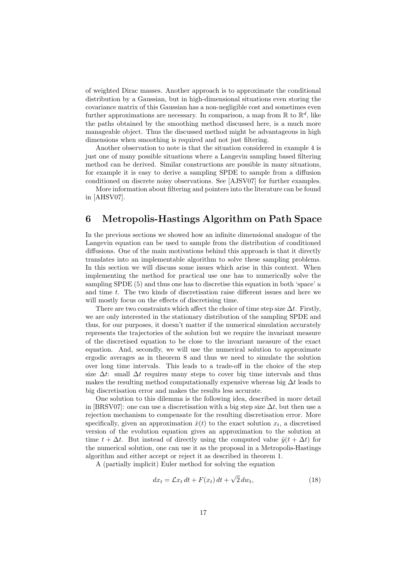of weighted Dirac masses. Another approach is to approximate the conditional distribution by a Gaussian, but in high-dimensional situations even storing the covariance matrix of this Gaussian has a non-negligible cost and sometimes even further approximations are necessary. In comparison, a map from  $\mathbb{R}$  to  $\mathbb{R}^d$ , like the paths obtained by the smoothing method discussed here, is a much more manageable object. Thus the discussed method might be advantageous in high dimensions when smoothing is required and not just filtering.

Another observation to note is that the situation considered in example 4 is just one of many possible situations where a Langevin sampling based filtering method can be derived. Similar constructions are possible in many situations, for example it is easy to derive a sampling SPDE to sample from a diffusion conditioned on discrete noisy observations. See [AJSV07] for further examples.

More information about filtering and pointers into the literature can be found in [AHSV07].

# 6 Metropolis-Hastings Algorithm on Path Space

In the previous sections we showed how an infinite dimensional analogue of the Langevin equation can be used to sample from the distribution of conditioned diffusions. One of the main motivations behind this approach is that it directly translates into an implementable algorithm to solve these sampling problems. In this section we will discuss some issues which arise in this context. When implementing the method for practical use one has to numerically solve the sampling SPDE  $(5)$  and thus one has to discretise this equation in both 'space' u and time t. The two kinds of discretisation raise different issues and here we will mostly focus on the effects of discretising time.

There are two constraints which affect the choice of time step size  $\Delta t$ . Firstly, we are only interested in the stationary distribution of the sampling SPDE and thus, for our purposes, it doesn't matter if the numerical simulation accurately represents the trajectories of the solution but we require the invariant measure of the discretised equation to be close to the invariant measure of the exact equation. And, secondly, we will use the numerical solution to approximate ergodic averages as in theorem 8 and thus we need to simulate the solution over long time intervals. This leads to a trade-off in the choice of the step size  $\Delta t$ : small  $\Delta t$  requires many steps to cover big time intervals and thus makes the resulting method computationally expensive whereas big  $\Delta t$  leads to big discretisation error and makes the results less accurate.

One solution to this dilemma is the following idea, described in more detail in [BRSV07]: one can use a discretisation with a big step size  $\Delta t$ , but then use a rejection mechanism to compensate for the resulting discretisation error. More specifically, given an approximation  $\hat{x}(t)$  to the exact solution  $x_t$ , a discretised version of the evolution equation gives an approximation to the solution at time  $t + \Delta t$ . But instead of directly using the computed value  $\hat{y}(t + \Delta t)$  for the numerical solution, one can use it as the proposal in a Metropolis-Hastings algorithm and either accept or reject it as described in theorem 1.

A (partially implicit) Euler method for solving the equation

$$
dx_t = \mathcal{L}x_t dt + F(x_t) dt + \sqrt{2} dw_t,
$$
\n(18)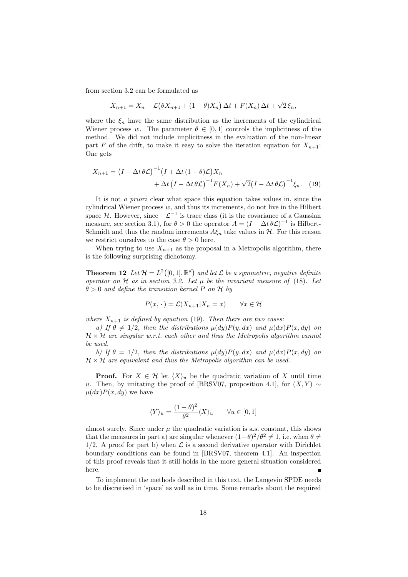from section 3.2 can be formulated as

$$
X_{n+1} = X_n + \mathcal{L}(\theta X_{n+1} + (1 - \theta)X_n) \Delta t + F(X_n) \Delta t + \sqrt{2} \xi_n,
$$

where the  $\xi_n$  have the same distribution as the increments of the cylindrical Wiener process w. The parameter  $\theta \in [0,1]$  controls the implicitness of the method. We did not include implicitness in the evaluation of the non-linear part F of the drift, to make it easy to solve the iteration equation for  $X_{n+1}$ : One gets

$$
X_{n+1} = (I - \Delta t \,\theta \mathcal{L})^{-1} (I + \Delta t (1 - \theta) \mathcal{L}) X_n + \Delta t (I - \Delta t \,\theta \mathcal{L})^{-1} F(X_n) + \sqrt{2} (I - \Delta t \,\theta \mathcal{L})^{-1} \xi_n.
$$
 (19)

It is not a priori clear what space this equation takes values in, since the cylindrical Wiener process  $w$ , and thus its increments, do not live in the Hilbert space  $H$ . However, since  $-\mathcal{L}^{-1}$  is trace class (it is the covariance of a Gaussian measure, see section 3.1), for  $\theta > 0$  the operator  $A = (I - \Delta t \theta \mathcal{L})^{-1}$  is Hilbert-Schmidt and thus the random increments  $A\xi_n$  take values in  $H$ . For this reason we restrict ourselves to the case  $\theta > 0$  here.

When trying to use  $X_{n+1}$  as the proposal in a Metropolis algorithm, there is the following surprising dichotomy.

**Theorem 12** Let  $\mathcal{H} = L^2([0,1], \mathbb{R}^d)$  and let  $\mathcal{L}$  be a symmetric, negative definite operator on H as in section 3.2. Let  $\mu$  be the invariant measure of (18). Let  $\theta > 0$  and define the transition kernel P on H by

$$
P(x, \cdot) = \mathcal{L}(X_{n+1} | X_n = x) \qquad \forall x \in \mathcal{H}
$$

where  $X_{n+1}$  is defined by equation (19). Then there are two cases:

a) If  $\theta \neq 1/2$ , then the distributions  $\mu(dy)P(y, dx)$  and  $\mu(dx)P(x, dy)$  on  $H \times H$  are singular w.r.t. each other and thus the Metropolis algorithm cannot be used.

b) If  $\theta = 1/2$ , then the distributions  $\mu(dy)P(y, dx)$  and  $\mu(dx)P(x, dy)$  on  $H \times H$  are equivalent and thus the Metropolis algorithm can be used.

**Proof.** For  $X \in \mathcal{H}$  let  $\langle X \rangle_u$  be the quadratic variation of X until time u. Then, by imitating the proof of [BRSV07, proposition 4.1], for  $(X, Y) \sim$  $\mu(dx)P(x, dy)$  we have

$$
\langle Y \rangle_u = \frac{(1 - \theta)^2}{\theta^2} \langle X \rangle_u \qquad \forall u \in [0, 1]
$$

almost surely. Since under  $\mu$  the quadratic variation is a.s. constant, this shows that the measures in part a) are singular whenever  $(1-\theta)^2/\theta^2 \neq 1$ , i.e. when  $\theta \neq$  $1/2$ . A proof for part b) when  $\mathcal L$  is a second derivative operator with Dirichlet boundary conditions can be found in [BRSV07, theorem 4.1]. An inspection of this proof reveals that it still holds in the more general situation considered here.

To implement the methods described in this text, the Langevin SPDE needs to be discretised in 'space' as well as in time. Some remarks about the required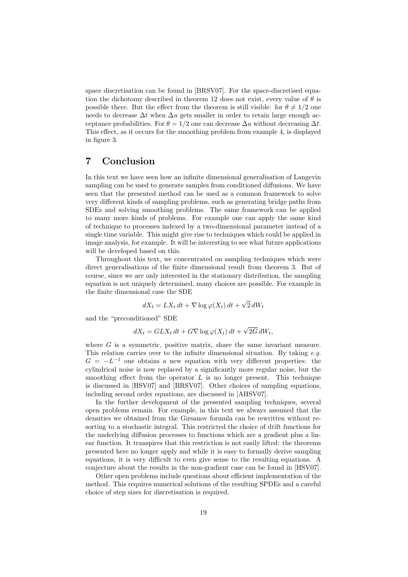space discretisation can be found in [BRSV07]. For the space-discretised equation the dichotomy described in theorem 12 does not exist, every value of  $\theta$  is possible there. But the effect from the theorem is still visible: for  $\theta \neq 1/2$  one needs to decrease  $\Delta t$  when  $\Delta u$  gets smaller in order to retain large enough acceptance probabilities. For  $\theta = 1/2$  one can decrease  $\Delta u$  without decreasing  $\Delta t$ . This effect, as it occurs for the smoothing problem from example 4, is displayed in figure 3.

# 7 Conclusion

In this text we have seen how an infinite dimensional generalisation of Langevin sampling can be used to generate samples from conditioned diffusions. We have seen that the presented method can be used as a common framework to solve very different kinds of sampling problems, such as generating bridge paths from SDEs and solving smoothing problems. The same framework can be applied to many more kinds of problems. For example one can apply the same kind of technique to processes indexed by a two-dimensional parameter instead of a single time variable. This might give rise to techniques which could be applied in image analysis, for example. It will be interesting to see what future applications will be developed based on this.

Throughout this text, we concentrated on sampling techniques which were direct generalisations of the finite dimensional result from theorem 3. But of course, since we are only interested in the stationary distribution, the sampling equation is not uniquely determined, many choices are possible. For example in the finite dimensional case the SDE

$$
dX_t = LX_t dt + \nabla \log \varphi(X_t) dt + \sqrt{2} dW_t
$$

and the "preconditioned" SDE

$$
dX_t = GLX_t dt + G\nabla \log \varphi(X_t) dt + \sqrt{2G} dW_t,
$$

where  $G$  is a symmetric, positive matrix, share the same invariant measure. This relation carries over to the infinite dimensional situation. By taking  $e.g.$  $G = -L^{-1}$  one obtains a new equation with very different properties: the cylindrical noise is now replaced by a significantly more regular noise, but the smoothing effect from the operator  $L$  is no longer present. This technique is discussed in [HSV07] and [BRSV07]. Other choices of sampling equations, including second order equations, are discussed in [AHSV07].

In the further development of the presented sampling techniques, several open problems remain. For example, in this text we always assumed that the densities we obtained from the Girsanov formula can be rewritten without resorting to a stochastic integral. This restricted the choice of drift functions for the underlying diffusion processes to functions which are a gradient plus a linear function. It transpires that this restriction is not easily lifted: the theorems presented here no longer apply and while it is easy to formally derive sampling equations, it is very difficult to even give sense to the resulting equations. A conjecture about the results in the non-gradient case can be found in [HSV07].

Other open problems include questions about efficient implementation of the method. This requires numerical solutions of the resulting SPDEs and a careful choice of step sizes for discretisation is required.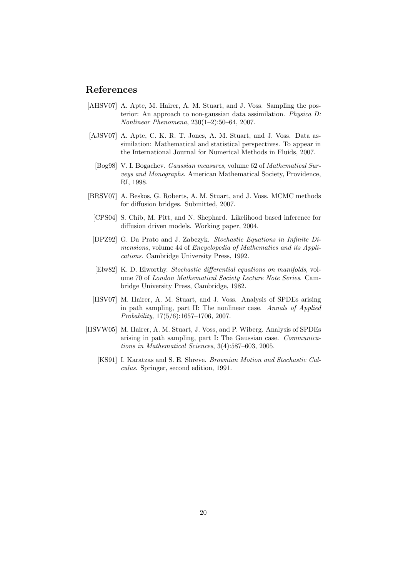# References

- [AHSV07] A. Apte, M. Hairer, A. M. Stuart, and J. Voss. Sampling the posterior: An approach to non-gaussian data assimilation. Physica D: Nonlinear Phenomena, 230(1–2):50–64, 2007.
- [AJSV07] A. Apte, C. K. R. T. Jones, A. M. Stuart, and J. Voss. Data assimilation: Mathematical and statistical perspectives. To appear in the International Journal for Numerical Methods in Fluids, 2007.
	- [Bog98] V. I. Bogachev. Gaussian measures, volume 62 of Mathematical Surveys and Monographs. American Mathematical Society, Providence, RI, 1998.
- [BRSV07] A. Beskos, G. Roberts, A. M. Stuart, and J. Voss. MCMC methods for diffusion bridges. Submitted, 2007.
- [CPS04] S. Chib, M. Pitt, and N. Shephard. Likelihood based inference for diffusion driven models. Working paper, 2004.
- [DPZ92] G. Da Prato and J. Zabczyk. Stochastic Equations in Infinite Dimensions, volume 44 of Encyclopedia of Mathematics and its Applications. Cambridge University Press, 1992.
- [Elw82] K. D. Elworthy. Stochastic differential equations on manifolds, volume 70 of London Mathematical Society Lecture Note Series. Cambridge University Press, Cambridge, 1982.
- [HSV07] M. Hairer, A. M. Stuart, and J. Voss. Analysis of SPDEs arising in path sampling, part II: The nonlinear case. Annals of Applied Probability, 17(5/6):1657–1706, 2007.
- [HSVW05] M. Hairer, A. M. Stuart, J. Voss, and P. Wiberg. Analysis of SPDEs arising in path sampling, part I: The Gaussian case. Communications in Mathematical Sciences, 3(4):587–603, 2005.
	- [KS91] I. Karatzas and S. E. Shreve. Brownian Motion and Stochastic Calculus. Springer, second edition, 1991.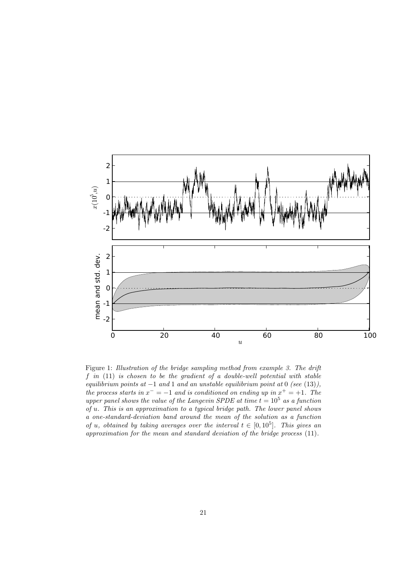

Figure 1: Illustration of the bridge sampling method from example 3. The drift  $f$  in  $(11)$  is chosen to be the gradient of a double-well potential with stable equilibrium points at  $-1$  and  $1$  and an unstable equilibrium point at  $0$  (see (13)), the process starts in  $x^- = -1$  and is conditioned on ending up in  $x^+ = +1$ . The upper panel shows the value of the Langevin SPDE at time  $t = 10^5$  as a function of u. This is an approximation to a typical bridge path. The lower panel shows a one-standard-deviation band around the mean of the solution as a function of u, obtained by taking averages over the interval  $t \in [0, 10^5]$ . This gives an approximation for the mean and standard deviation of the bridge process (11).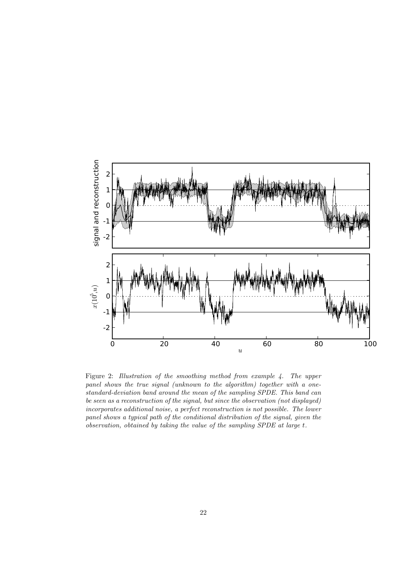

Figure 2: Illustration of the smoothing method from example 4. The upper panel shows the true signal (unknown to the algorithm) together with a onestandard-deviation band around the mean of the sampling SPDE. This band can be seen as a reconstruction of the signal, but since the observation (not displayed) incorporates additional noise, a perfect reconstruction is not possible. The lower panel shows a typical path of the conditional distribution of the signal, given the observation, obtained by taking the value of the sampling SPDE at large t.